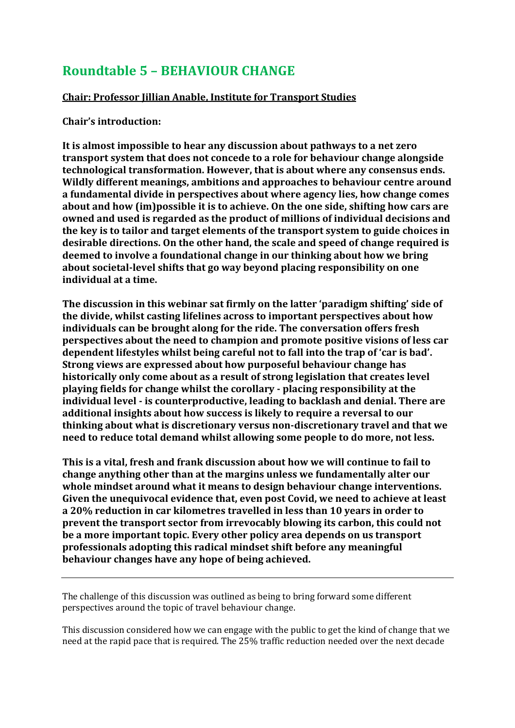# **Roundtable 5 – BEHAVIOUR CHANGE**

# **Chair: Professor Jillian Anable, Institute for Transport Studies**

# **Chair's introduction:**

**It is almost impossible to hear any discussion about pathways to a net zero transport system that does not concede to a role for behaviour change alongside technological transformation. However, that is about where any consensus ends. Wildly different meanings, ambitions and approaches to behaviour centre around a fundamental divide in perspectives about where agency lies, how change comes about and how (im)possible it is to achieve. On the one side, shifting how cars are owned and used is regarded as the product of millions of individual decisions and the key is to tailor and target elements of the transport system to guide choices in desirable directions. On the other hand, the scale and speed of change required is deemed to involve a foundational change in our thinking about how we bring about societal-level shifts that go way beyond placing responsibility on one individual at a time.**

**The discussion in this webinar sat firmly on the latter 'paradigm shifting' side of the divide, whilst casting lifelines across to important perspectives about how individuals can be brought along for the ride. The conversation offers fresh perspectives about the need to champion and promote positive visions of less car dependent lifestyles whilst being careful not to fall into the trap of 'car is bad'. Strong views are expressed about how purposeful behaviour change has historically only come about as a result of strong legislation that creates level playing fields for change whilst the corollary - placing responsibility at the individual level - is counterproductive, leading to backlash and denial. There are additional insights about how success is likely to require a reversal to our thinking about what is discretionary versus non-discretionary travel and that we need to reduce total demand whilst allowing some people to do more, not less.**

**This is a vital, fresh and frank discussion about how we will continue to fail to change anything other than at the margins unless we fundamentally alter our whole mindset around what it means to design behaviour change interventions. Given the unequivocal evidence that, even post Covid, we need to achieve at least a 20% reduction in car kilometres travelled in less than 10 years in order to prevent the transport sector from irrevocably blowing its carbon, this could not be a more important topic. Every other policy area depends on us transport professionals adopting this radical mindset shift before any meaningful behaviour changes have any hope of being achieved.**

The challenge of this discussion was outlined as being to bring forward some different perspectives around the topic of travel behaviour change.

This discussion considered how we can engage with the public to get the kind of change that we need at the rapid pace that is required. The 25% traffic reduction needed over the next decade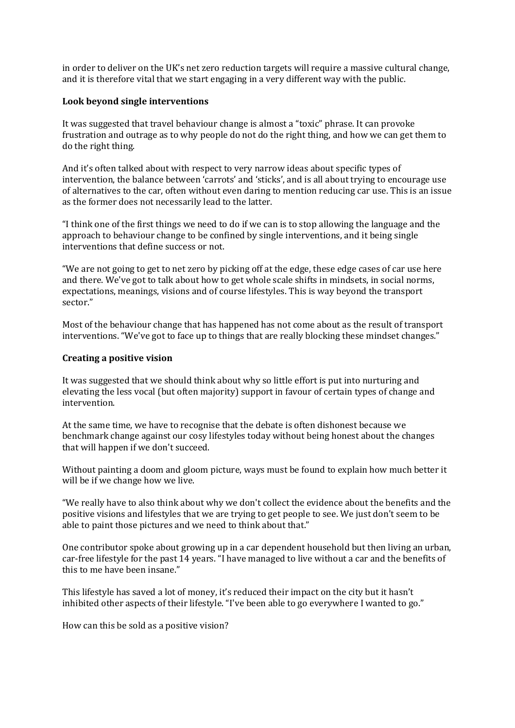in order to deliver on the UK's net zero reduction targets will require a massive cultural change, and it is therefore vital that we start engaging in a very different way with the public.

#### **Look beyond single interventions**

It was suggested that travel behaviour change is almost a "toxic" phrase. It can provoke frustration and outrage as to why people do not do the right thing, and how we can get them to do the right thing.

And it's often talked about with respect to very narrow ideas about specific types of intervention, the balance between 'carrots' and 'sticks', and is all about trying to encourage use of alternatives to the car, often without even daring to mention reducing car use. This is an issue as the former does not necessarily lead to the latter.

"I think one of the first things we need to do if we can is to stop allowing the language and the approach to behaviour change to be confined by single interventions, and it being single interventions that define success or not.

"We are not going to get to net zero by picking off at the edge, these edge cases of car use here and there. We've got to talk about how to get whole scale shifts in mindsets, in social norms, expectations, meanings, visions and of course lifestyles. This is way beyond the transport sector."

Most of the behaviour change that has happened has not come about as the result of transport interventions. "We've got to face up to things that are really blocking these mindset changes."

#### **Creating a positive vision**

It was suggested that we should think about why so little effort is put into nurturing and elevating the less vocal (but often majority) support in favour of certain types of change and intervention.

At the same time, we have to recognise that the debate is often dishonest because we benchmark change against our cosy lifestyles today without being honest about the changes that will happen if we don't succeed.

Without painting a doom and gloom picture, ways must be found to explain how much better it will be if we change how we live.

"We really have to also think about why we don't collect the evidence about the benefits and the positive visions and lifestyles that we are trying to get people to see. We just don't seem to be able to paint those pictures and we need to think about that."

One contributor spoke about growing up in a car dependent household but then living an urban, car-free lifestyle for the past 14 years. "I have managed to live without a car and the benefits of this to me have been insane."

This lifestyle has saved a lot of money, it's reduced their impact on the city but it hasn't inhibited other aspects of their lifestyle. "I've been able to go everywhere I wanted to go."

How can this be sold as a positive vision?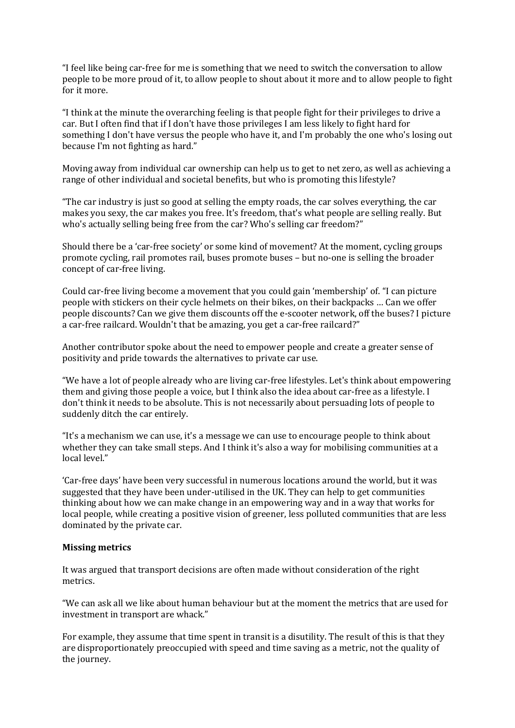"I feel like being car-free for me is something that we need to switch the conversation to allow people to be more proud of it, to allow people to shout about it more and to allow people to fight for it more.

"I think at the minute the overarching feeling is that people fight for their privileges to drive a car. But I often find that if I don't have those privileges I am less likely to fight hard for something I don't have versus the people who have it, and I'm probably the one who's losing out because I'm not fighting as hard."

Moving away from individual car ownership can help us to get to net zero, as well as achieving a range of other individual and societal benefits, but who is promoting this lifestyle?

"The car industry is just so good at selling the empty roads, the car solves everything, the car makes you sexy, the car makes you free. It's freedom, that's what people are selling really. But who's actually selling being free from the car? Who's selling car freedom?"

Should there be a 'car-free society' or some kind of movement? At the moment, cycling groups promote cycling, rail promotes rail, buses promote buses – but no-one is selling the broader concept of car-free living.

Could car-free living become a movement that you could gain 'membership' of. "I can picture people with stickers on their cycle helmets on their bikes, on their backpacks … Can we offer people discounts? Can we give them discounts off the e-scooter network, off the buses? I picture a car-free railcard. Wouldn't that be amazing, you get a car-free railcard?"

Another contributor spoke about the need to empower people and create a greater sense of positivity and pride towards the alternatives to private car use.

"We have a lot of people already who are living car-free lifestyles. Let's think about empowering them and giving those people a voice, but I think also the idea about car-free as a lifestyle. I don't think it needs to be absolute. This is not necessarily about persuading lots of people to suddenly ditch the car entirely.

"It's a mechanism we can use, it's a message we can use to encourage people to think about whether they can take small steps. And I think it's also a way for mobilising communities at a local level."

'Car-free days' have been very successful in numerous locations around the world, but it was suggested that they have been under-utilised in the UK. They can help to get communities thinking about how we can make change in an empowering way and in a way that works for local people, while creating a positive vision of greener, less polluted communities that are less dominated by the private car.

#### **Missing metrics**

It was argued that transport decisions are often made without consideration of the right metrics.

"We can ask all we like about human behaviour but at the moment the metrics that are used for investment in transport are whack."

For example, they assume that time spent in transit is a disutility. The result of this is that they are disproportionately preoccupied with speed and time saving as a metric, not the quality of the journey.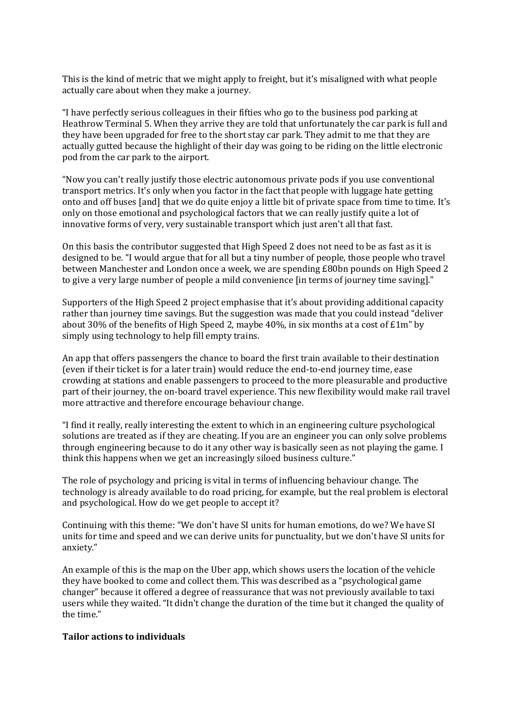This is the kind of metric that we might apply to freight, but it's misaligned with what people actually care about when they make a journey.

"I have perfectly serious colleagues in their fifties who go to the business pod parking at Heathrow Terminal 5. When they arrive they are told that unfortunately the car park is full and they have been upgraded for free to the short stay car park. They admit to me that they are actually gutted because the highlight of their day was going to be riding on the little electronic pod from the car park to the airport.

"Now you can't really justify those electric autonomous private pods if you use conventional transport metrics. It's only when you factor in the fact that people with luggage hate getting onto and off buses [and] that we do quite enjoy a little bit of private space from time to time. It's only on those emotional and psychological factors that we can really justify quite a lot of innovative forms of very, very sustainable transport which just aren't all that fast.

On this basis the contributor suggested that High Speed 2 does not need to be as fast as it is designed to be. "I would argue that for all but a tiny number of people, those people who travel between Manchester and London once a week, we are spending £80bn pounds on High Speed 2 to give a very large number of people a mild convenience [in terms of journey time saving]."

Supporters of the High Speed 2 project emphasise that it's about providing additional capacity rather than journey time savings. But the suggestion was made that you could instead "deliver about 30% of the benefits of High Speed 2, maybe 40%, in six months at a cost of  $\text{\textsterling}\text{1m}$ " by simply using technology to help fill empty trains.

An app that offers passengers the chance to board the first train available to their destination (even if their ticket is for a later train) would reduce the end-to-end journey time, ease crowding at stations and enable passengers to proceed to the more pleasurable and productive part of their journey, the on-board travel experience. This new flexibility would make rail travel more attractive and therefore encourage behaviour change.

"I find it really, really interesting the extent to which in an engineering culture psychological solutions are treated as if they are cheating. If you are an engineer you can only solve problems through engineering because to do it any other way is basically seen as not playing the game. I think this happens when we get an increasingly siloed business culture."

The role of psychology and pricing is vital in terms of influencing behaviour change. The technology is already available to do road pricing, for example, but the real problem is electoral and psychological. How do we get people to accept it?

Continuing with this theme: "We don't have SI units for human emotions, do we? We have SI units for time and speed and we can derive units for punctuality, but we don't have SI units for anxiety."

An example of this is the map on the Uber app, which shows users the location of the vehicle they have booked to come and collect them. This was described as a "psychological game changer" because it offered a degree of reassurance that was not previously available to taxi users while they waited. "It didn't change the duration of the time but it changed the quality of the time."

#### **Tailor actions to individuals**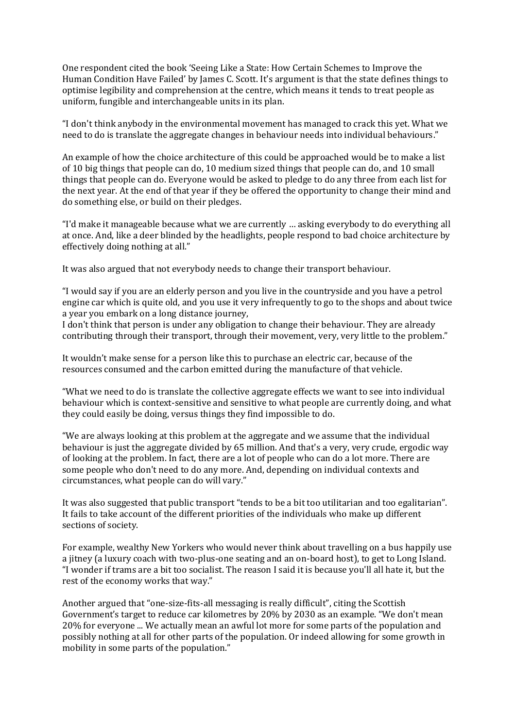One respondent cited the book 'Seeing Like a State: How Certain Schemes to Improve the Human Condition Have Failed' by James C. Scott. It's argument is that the state defines things to optimise legibility and comprehension at the centre, which means it tends to treat people as uniform, fungible and interchangeable units in its plan.

"I don't think anybody in the environmental movement has managed to crack this yet. What we need to do is translate the aggregate changes in behaviour needs into individual behaviours."

An example of how the choice architecture of this could be approached would be to make a list of 10 big things that people can do, 10 medium sized things that people can do, and 10 small things that people can do. Everyone would be asked to pledge to do any three from each list for the next year. At the end of that year if they be offered the opportunity to change their mind and do something else, or build on their pledges.

"I'd make it manageable because what we are currently … asking everybody to do everything all at once. And, like a deer blinded by the headlights, people respond to bad choice architecture by effectively doing nothing at all."

It was also argued that not everybody needs to change their transport behaviour.

"I would say if you are an elderly person and you live in the countryside and you have a petrol engine car which is quite old, and you use it very infrequently to go to the shops and about twice a year you embark on a long distance journey,

I don't think that person is under any obligation to change their behaviour. They are already contributing through their transport, through their movement, very, very little to the problem."

It wouldn't make sense for a person like this to purchase an electric car, because of the resources consumed and the carbon emitted during the manufacture of that vehicle.

"What we need to do is translate the collective aggregate effects we want to see into individual behaviour which is context-sensitive and sensitive to what people are currently doing, and what they could easily be doing, versus things they find impossible to do.

"We are always looking at this problem at the aggregate and we assume that the individual behaviour is just the aggregate divided by 65 million. And that's a very, very crude, ergodic way of looking at the problem. In fact, there are a lot of people who can do a lot more. There are some people who don't need to do any more. And, depending on individual contexts and circumstances, what people can do will vary."

It was also suggested that public transport "tends to be a bit too utilitarian and too egalitarian". It fails to take account of the different priorities of the individuals who make up different sections of society.

For example, wealthy New Yorkers who would never think about travelling on a bus happily use a jitney (a luxury coach with two-plus-one seating and an on-board host), to get to Long Island. "I wonder if trams are a bit too socialist. The reason I said it is because you'll all hate it, but the rest of the economy works that way."

Another argued that "one-size-fits-all messaging is really difficult", citing the Scottish Government's target to reduce car kilometres by 20% by 2030 as an example. "We don't mean 20% for everyone ... We actually mean an awful lot more for some parts of the population and possibly nothing at all for other parts of the population. Or indeed allowing for some growth in mobility in some parts of the population."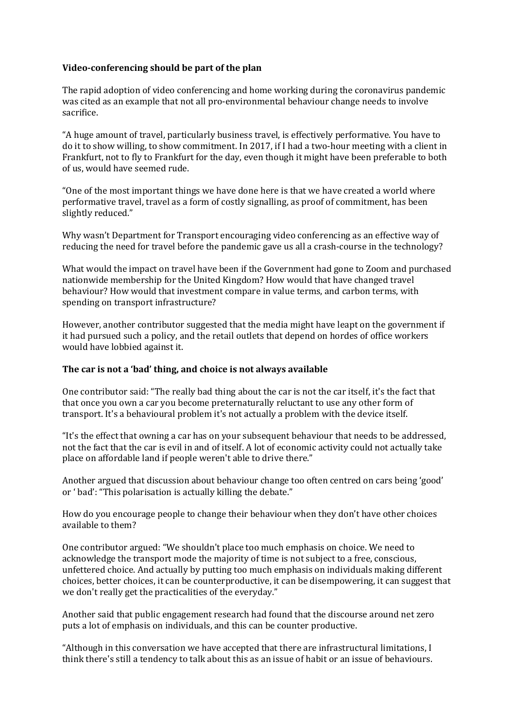### **Video-conferencing should be part of the plan**

The rapid adoption of video conferencing and home working during the coronavirus pandemic was cited as an example that not all pro-environmental behaviour change needs to involve sacrifice.

"A huge amount of travel, particularly business travel, is effectively performative. You have to do it to show willing, to show commitment. In 2017, if I had a two-hour meeting with a client in Frankfurt, not to fly to Frankfurt for the day, even though it might have been preferable to both of us, would have seemed rude.

"One of the most important things we have done here is that we have created a world where performative travel, travel as a form of costly signalling, as proof of commitment, has been slightly reduced."

Why wasn't Department for Transport encouraging video conferencing as an effective way of reducing the need for travel before the pandemic gave us all a crash-course in the technology?

What would the impact on travel have been if the Government had gone to Zoom and purchased nationwide membership for the United Kingdom? How would that have changed travel behaviour? How would that investment compare in value terms, and carbon terms, with spending on transport infrastructure?

However, another contributor suggested that the media might have leapt on the government if it had pursued such a policy, and the retail outlets that depend on hordes of office workers would have lobbied against it.

#### **The car is not a 'bad' thing, and choice is not always available**

One contributor said: "The really bad thing about the car is not the car itself, it's the fact that that once you own a car you become preternaturally reluctant to use any other form of transport. It's a behavioural problem it's not actually a problem with the device itself.

"It's the effect that owning a car has on your subsequent behaviour that needs to be addressed, not the fact that the car is evil in and of itself. A lot of economic activity could not actually take place on affordable land if people weren't able to drive there."

Another argued that discussion about behaviour change too often centred on cars being 'good' or ' bad': "This polarisation is actually killing the debate."

How do you encourage people to change their behaviour when they don't have other choices available to them?

One contributor argued: "We shouldn't place too much emphasis on choice. We need to acknowledge the transport mode the majority of time is not subject to a free, conscious, unfettered choice. And actually by putting too much emphasis on individuals making different choices, better choices, it can be counterproductive, it can be disempowering, it can suggest that we don't really get the practicalities of the everyday."

Another said that public engagement research had found that the discourse around net zero puts a lot of emphasis on individuals, and this can be counter productive.

"Although in this conversation we have accepted that there are infrastructural limitations, I think there's still a tendency to talk about this as an issue of habit or an issue of behaviours.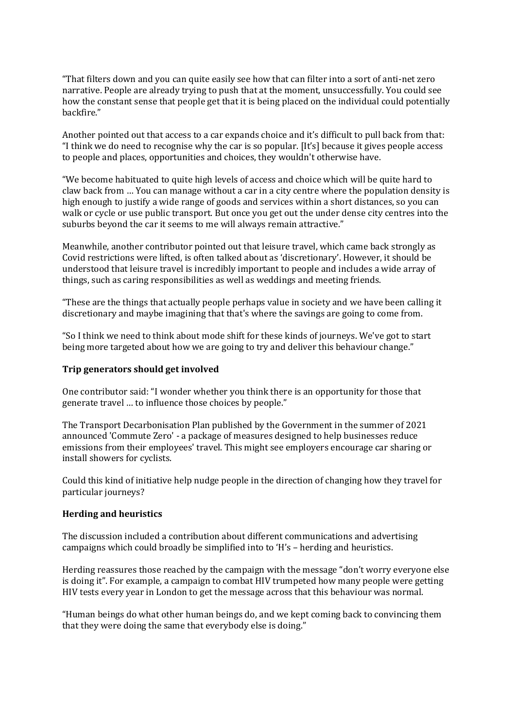"That filters down and you can quite easily see how that can filter into a sort of anti-net zero narrative. People are already trying to push that at the moment, unsuccessfully. You could see how the constant sense that people get that it is being placed on the individual could potentially backfire."

Another pointed out that access to a car expands choice and it's difficult to pull back from that: "I think we do need to recognise why the car is so popular. [It's] because it gives people access to people and places, opportunities and choices, they wouldn't otherwise have.

"We become habituated to quite high levels of access and choice which will be quite hard to claw back from … You can manage without a car in a city centre where the population density is high enough to justify a wide range of goods and services within a short distances, so you can walk or cycle or use public transport. But once you get out the under dense city centres into the suburbs beyond the car it seems to me will always remain attractive."

Meanwhile, another contributor pointed out that leisure travel, which came back strongly as Covid restrictions were lifted, is often talked about as 'discretionary'. However, it should be understood that leisure travel is incredibly important to people and includes a wide array of things, such as caring responsibilities as well as weddings and meeting friends.

"These are the things that actually people perhaps value in society and we have been calling it discretionary and maybe imagining that that's where the savings are going to come from.

"So I think we need to think about mode shift for these kinds of journeys. We've got to start being more targeted about how we are going to try and deliver this behaviour change."

#### **Trip generators should get involved**

One contributor said: "I wonder whether you think there is an opportunity for those that generate travel … to influence those choices by people."

The Transport Decarbonisation Plan published by the Government in the summer of 2021 announced 'Commute Zero' - a package of measures designed to help businesses reduce emissions from their employees' travel. This might see employers encourage car sharing or install showers for cyclists.

Could this kind of initiative help nudge people in the direction of changing how they travel for particular journeys?

#### **Herding and heuristics**

The discussion included a contribution about different communications and advertising campaigns which could broadly be simplified into to 'H's – herding and heuristics.

Herding reassures those reached by the campaign with the message "don't worry everyone else is doing it". For example, a campaign to combat HIV trumpeted how many people were getting HIV tests every year in London to get the message across that this behaviour was normal.

"Human beings do what other human beings do, and we kept coming back to convincing them that they were doing the same that everybody else is doing."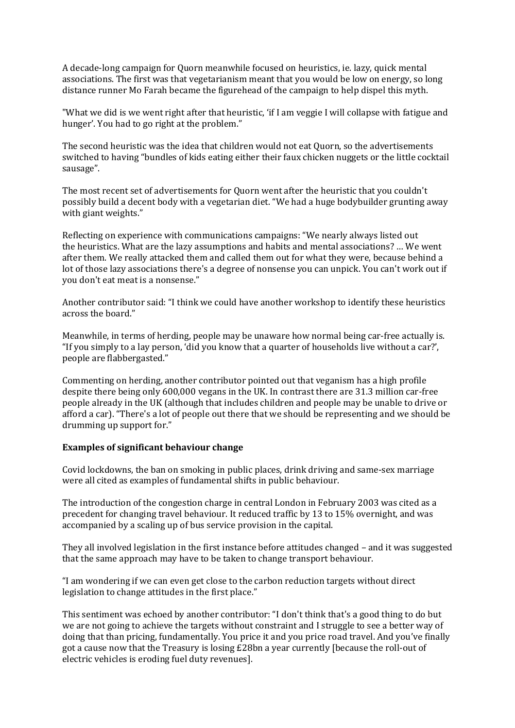A decade-long campaign for Quorn meanwhile focused on heuristics, ie. lazy, quick mental associations. The first was that vegetarianism meant that you would be low on energy, so long distance runner Mo Farah became the figurehead of the campaign to help dispel this myth.

"What we did is we went right after that heuristic, 'if I am veggie I will collapse with fatigue and hunger'. You had to go right at the problem."

The second heuristic was the idea that children would not eat Quorn, so the advertisements switched to having "bundles of kids eating either their faux chicken nuggets or the little cocktail sausage".

The most recent set of advertisements for Quorn went after the heuristic that you couldn't possibly build a decent body with a vegetarian diet. "We had a huge bodybuilder grunting away with giant weights."

Reflecting on experience with communications campaigns: "We nearly always listed out the heuristics. What are the lazy assumptions and habits and mental associations? … We went after them. We really attacked them and called them out for what they were, because behind a lot of those lazy associations there's a degree of nonsense you can unpick. You can't work out if you don't eat meat is a nonsense."

Another contributor said: "I think we could have another workshop to identify these heuristics across the board."

Meanwhile, in terms of herding, people may be unaware how normal being car-free actually is. "If you simply to a lay person, 'did you know that a quarter of households live without a car?', people are flabbergasted."

Commenting on herding, another contributor pointed out that veganism has a high profile despite there being only 600,000 vegans in the UK. In contrast there are 31.3 million car-free people already in the UK (although that includes children and people may be unable to drive or afford a car). "There's a lot of people out there that we should be representing and we should be drumming up support for."

#### **Examples of significant behaviour change**

Covid lockdowns, the ban on smoking in public places, drink driving and same-sex marriage were all cited as examples of fundamental shifts in public behaviour.

The introduction of the congestion charge in central London in February 2003 was cited as a precedent for changing travel behaviour. It reduced traffic by 13 to 15% overnight, and was accompanied by a scaling up of bus service provision in the capital.

They all involved legislation in the first instance before attitudes changed – and it was suggested that the same approach may have to be taken to change transport behaviour.

"I am wondering if we can even get close to the carbon reduction targets without direct legislation to change attitudes in the first place."

This sentiment was echoed by another contributor: "I don't think that's a good thing to do but we are not going to achieve the targets without constraint and I struggle to see a better way of doing that than pricing, fundamentally. You price it and you price road travel. And you've finally got a cause now that the Treasury is losing £28bn a year currently [because the roll-out of electric vehicles is eroding fuel duty revenues].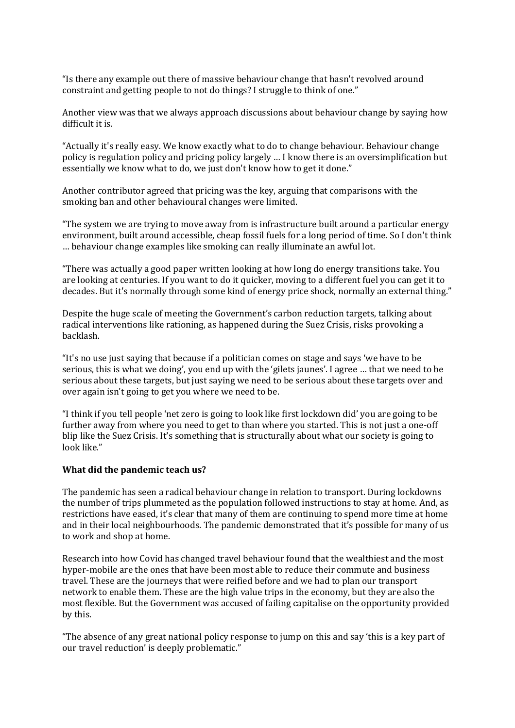"Is there any example out there of massive behaviour change that hasn't revolved around constraint and getting people to not do things? I struggle to think of one."

Another view was that we always approach discussions about behaviour change by saying how difficult it is.

"Actually it's really easy. We know exactly what to do to change behaviour. Behaviour change policy is regulation policy and pricing policy largely … I know there is an oversimplification but essentially we know what to do, we just don't know how to get it done."

Another contributor agreed that pricing was the key, arguing that comparisons with the smoking ban and other behavioural changes were limited.

"The system we are trying to move away from is infrastructure built around a particular energy environment, built around accessible, cheap fossil fuels for a long period of time. So I don't think … behaviour change examples like smoking can really illuminate an awful lot.

"There was actually a good paper written looking at how long do energy transitions take. You are looking at centuries. If you want to do it quicker, moving to a different fuel you can get it to decades. But it's normally through some kind of energy price shock, normally an external thing."

Despite the huge scale of meeting the Government's carbon reduction targets, talking about radical interventions like rationing, as happened during the Suez Crisis, risks provoking a backlash.

"It's no use just saying that because if a politician comes on stage and says 'we have to be serious, this is what we doing', you end up with the 'gilets jaunes'. I agree … that we need to be serious about these targets, but just saying we need to be serious about these targets over and over again isn't going to get you where we need to be.

"I think if you tell people 'net zero is going to look like first lockdown did' you are going to be further away from where you need to get to than where you started. This is not just a one-off blip like the Suez Crisis. It's something that is structurally about what our society is going to look like."

#### **What did the pandemic teach us?**

The pandemic has seen a radical behaviour change in relation to transport. During lockdowns the number of trips plummeted as the population followed instructions to stay at home. And, as restrictions have eased, it's clear that many of them are continuing to spend more time at home and in their local neighbourhoods. The pandemic demonstrated that it's possible for many of us to work and shop at home.

Research into how Covid has changed travel behaviour found that the wealthiest and the most hyper-mobile are the ones that have been most able to reduce their commute and business travel. These are the journeys that were reified before and we had to plan our transport network to enable them. These are the high value trips in the economy, but they are also the most flexible. But the Government was accused of failing capitalise on the opportunity provided by this.

"The absence of any great national policy response to jump on this and say 'this is a key part of our travel reduction' is deeply problematic."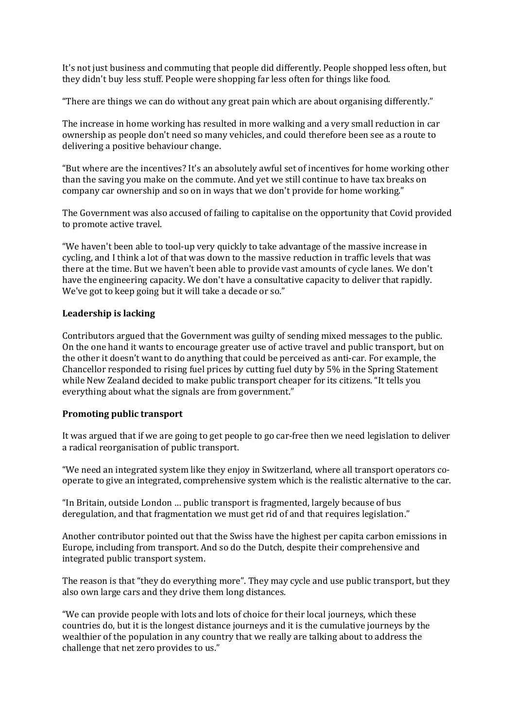It's not just business and commuting that people did differently. People shopped less often, but they didn't buy less stuff. People were shopping far less often for things like food.

"There are things we can do without any great pain which are about organising differently."

The increase in home working has resulted in more walking and a very small reduction in car ownership as people don't need so many vehicles, and could therefore been see as a route to delivering a positive behaviour change.

"But where are the incentives? It's an absolutely awful set of incentives for home working other than the saving you make on the commute. And yet we still continue to have tax breaks on company car ownership and so on in ways that we don't provide for home working."

The Government was also accused of failing to capitalise on the opportunity that Covid provided to promote active travel.

"We haven't been able to tool-up very quickly to take advantage of the massive increase in cycling, and I think a lot of that was down to the massive reduction in traffic levels that was there at the time. But we haven't been able to provide vast amounts of cycle lanes. We don't have the engineering capacity. We don't have a consultative capacity to deliver that rapidly. We've got to keep going but it will take a decade or so."

#### **Leadership is lacking**

Contributors argued that the Government was guilty of sending mixed messages to the public. On the one hand it wants to encourage greater use of active travel and public transport, but on the other it doesn't want to do anything that could be perceived as anti-car. For example, the Chancellor responded to rising fuel prices by cutting fuel duty by 5% in the Spring Statement while New Zealand decided to make public transport cheaper for its citizens. "It tells you everything about what the signals are from government."

## **Promoting public transport**

It was argued that if we are going to get people to go car-free then we need legislation to deliver a radical reorganisation of public transport.

"We need an integrated system like they enjoy in Switzerland, where all transport operators cooperate to give an integrated, comprehensive system which is the realistic alternative to the car.

"In Britain, outside London … public transport is fragmented, largely because of bus deregulation, and that fragmentation we must get rid of and that requires legislation."

Another contributor pointed out that the Swiss have the highest per capita carbon emissions in Europe, including from transport. And so do the Dutch, despite their comprehensive and integrated public transport system.

The reason is that "they do everything more". They may cycle and use public transport, but they also own large cars and they drive them long distances.

"We can provide people with lots and lots of choice for their local journeys, which these countries do, but it is the longest distance journeys and it is the cumulative journeys by the wealthier of the population in any country that we really are talking about to address the challenge that net zero provides to us."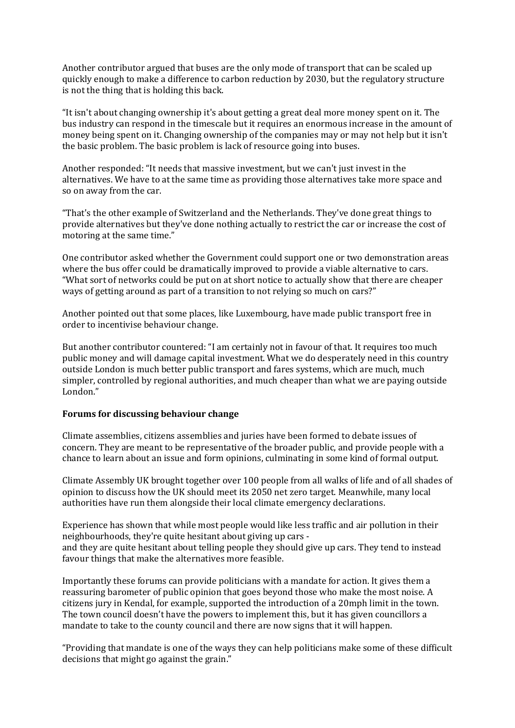Another contributor argued that buses are the only mode of transport that can be scaled up quickly enough to make a difference to carbon reduction by 2030, but the regulatory structure is not the thing that is holding this back.

"It isn't about changing ownership it's about getting a great deal more money spent on it. The bus industry can respond in the timescale but it requires an enormous increase in the amount of money being spent on it. Changing ownership of the companies may or may not help but it isn't the basic problem. The basic problem is lack of resource going into buses.

Another responded: "It needs that massive investment, but we can't just invest in the alternatives. We have to at the same time as providing those alternatives take more space and so on away from the car.

"That's the other example of Switzerland and the Netherlands. They've done great things to provide alternatives but they've done nothing actually to restrict the car or increase the cost of motoring at the same time."

One contributor asked whether the Government could support one or two demonstration areas where the bus offer could be dramatically improved to provide a viable alternative to cars. "What sort of networks could be put on at short notice to actually show that there are cheaper ways of getting around as part of a transition to not relying so much on cars?"

Another pointed out that some places, like Luxembourg, have made public transport free in order to incentivise behaviour change.

But another contributor countered: "I am certainly not in favour of that. It requires too much public money and will damage capital investment. What we do desperately need in this country outside London is much better public transport and fares systems, which are much, much simpler, controlled by regional authorities, and much cheaper than what we are paying outside London."

#### **Forums for discussing behaviour change**

Climate assemblies, citizens assemblies and juries have been formed to debate issues of concern. They are meant to be representative of the broader public, and provide people with a chance to learn about an issue and form opinions, culminating in some kind of formal output.

Climate Assembly UK brought together over 100 people from all walks of life and of all shades of opinion to discuss how the UK should meet its 2050 net zero target. Meanwhile, many local authorities have run them alongside their local climate emergency declarations.

Experience has shown that while most people would like less traffic and air pollution in their neighbourhoods, they're quite hesitant about giving up cars and they are quite hesitant about telling people they should give up cars. They tend to instead favour things that make the alternatives more feasible.

Importantly these forums can provide politicians with a mandate for action. It gives them a reassuring barometer of public opinion that goes beyond those who make the most noise. A citizens jury in Kendal, for example, supported the introduction of a 20mph limit in the town. The town council doesn't have the powers to implement this, but it has given councillors a mandate to take to the county council and there are now signs that it will happen.

"Providing that mandate is one of the ways they can help politicians make some of these difficult decisions that might go against the grain."